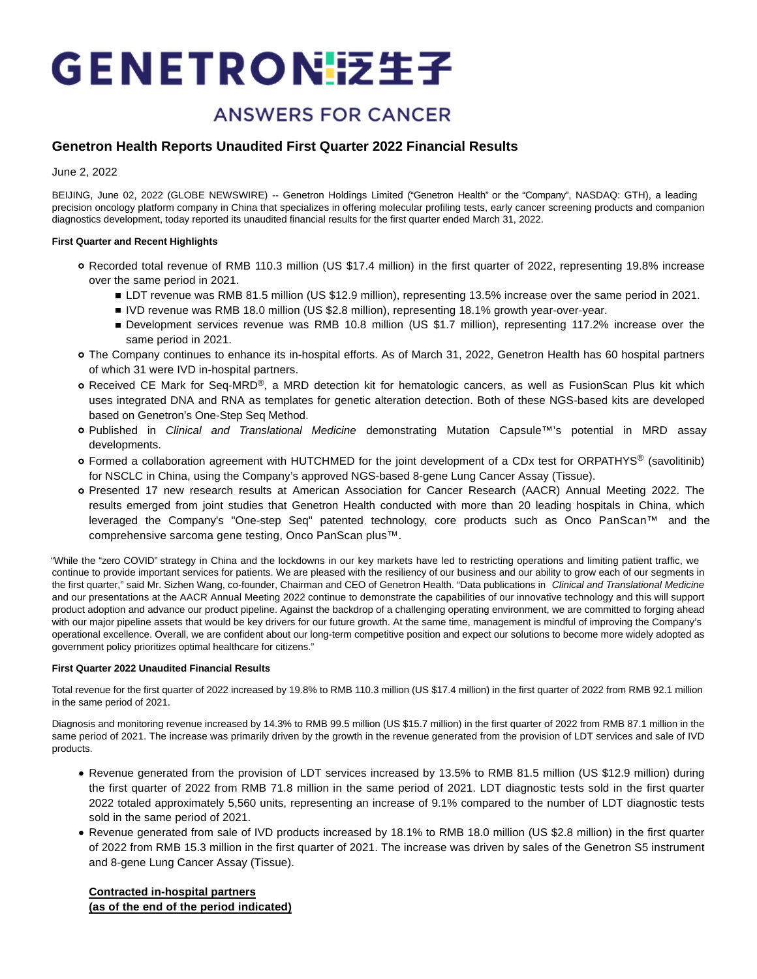# GENETRON 挖生子

# **ANSWERS FOR CANCER**

# **Genetron Health Reports Unaudited First Quarter 2022 Financial Results**

June 2, 2022

BEIJING, June 02, 2022 (GLOBE NEWSWIRE) -- Genetron Holdings Limited ("Genetron Health" or the "Company", NASDAQ: GTH), a leading precision oncology platform company in China that specializes in offering molecular profiling tests, early cancer screening products and companion diagnostics development, today reported its unaudited financial results for the first quarter ended March 31, 2022.

#### **First Quarter and Recent Highlights**

- Recorded total revenue of RMB 110.3 million (US \$17.4 million) in the first quarter of 2022, representing 19.8% increase over the same period in 2021.
	- LDT revenue was RMB 81.5 million (US \$12.9 million), representing 13.5% increase over the same period in 2021.
	- IVD revenue was RMB 18.0 million (US \$2.8 million), representing 18.1% growth year-over-year.
	- Development services revenue was RMB 10.8 million (US \$1.7 million), representing 117.2% increase over the same period in 2021.
- The Company continues to enhance its in-hospital efforts. As of March 31, 2022, Genetron Health has 60 hospital partners of which 31 were IVD in-hospital partners.
- o Received CE Mark for Seq-MRD®, a MRD detection kit for hematologic cancers, as well as FusionScan Plus kit which uses integrated DNA and RNA as templates for genetic alteration detection. Both of these NGS-based kits are developed based on Genetron's One-Step Seq Method.
- Published in Clinical and Translational Medicine demonstrating Mutation Capsule™'s potential in MRD assay developments.
- o Formed a collaboration agreement with HUTCHMED for the joint development of a CDx test for ORPATHYS® (savolitinib) for NSCLC in China, using the Company's approved NGS-based 8-gene Lung Cancer Assay (Tissue).
- Presented 17 new research results at American Association for Cancer Research (AACR) Annual Meeting 2022. The results emerged from joint studies that Genetron Health conducted with more than 20 leading hospitals in China, which leveraged the Company's "One-step Seq" patented technology, core products such as Onco PanScan™ and the comprehensive sarcoma gene testing, Onco PanScan plus™.

"While the "zero COVID" strategy in China and the lockdowns in our key markets have led to restricting operations and limiting patient traffic, we continue to provide important services for patients. We are pleased with the resiliency of our business and our ability to grow each of our segments in the first quarter," said Mr. Sizhen Wang, co-founder, Chairman and CEO of Genetron Health. "Data publications in Clinical and Translational Medicine and our presentations at the AACR Annual Meeting 2022 continue to demonstrate the capabilities of our innovative technology and this will support product adoption and advance our product pipeline. Against the backdrop of a challenging operating environment, we are committed to forging ahead with our major pipeline assets that would be key drivers for our future growth. At the same time, management is mindful of improving the Company's operational excellence. Overall, we are confident about our long-term competitive position and expect our solutions to become more widely adopted as government policy prioritizes optimal healthcare for citizens."

#### **First Quarter 2022 Unaudited Financial Results**

Total revenue for the first quarter of 2022 increased by 19.8% to RMB 110.3 million (US \$17.4 million) in the first quarter of 2022 from RMB 92.1 million in the same period of 2021.

Diagnosis and monitoring revenue increased by 14.3% to RMB 99.5 million (US \$15.7 million) in the first quarter of 2022 from RMB 87.1 million in the same period of 2021. The increase was primarily driven by the growth in the revenue generated from the provision of LDT services and sale of IVD products.

- Revenue generated from the provision of LDT services increased by 13.5% to RMB 81.5 million (US \$12.9 million) during the first quarter of 2022 from RMB 71.8 million in the same period of 2021. LDT diagnostic tests sold in the first quarter 2022 totaled approximately 5,560 units, representing an increase of 9.1% compared to the number of LDT diagnostic tests sold in the same period of 2021.
- Revenue generated from sale of IVD products increased by 18.1% to RMB 18.0 million (US \$2.8 million) in the first quarter of 2022 from RMB 15.3 million in the first quarter of 2021. The increase was driven by sales of the Genetron S5 instrument and 8-gene Lung Cancer Assay (Tissue).

**Contracted in-hospital partners (as of the end of the period indicated)**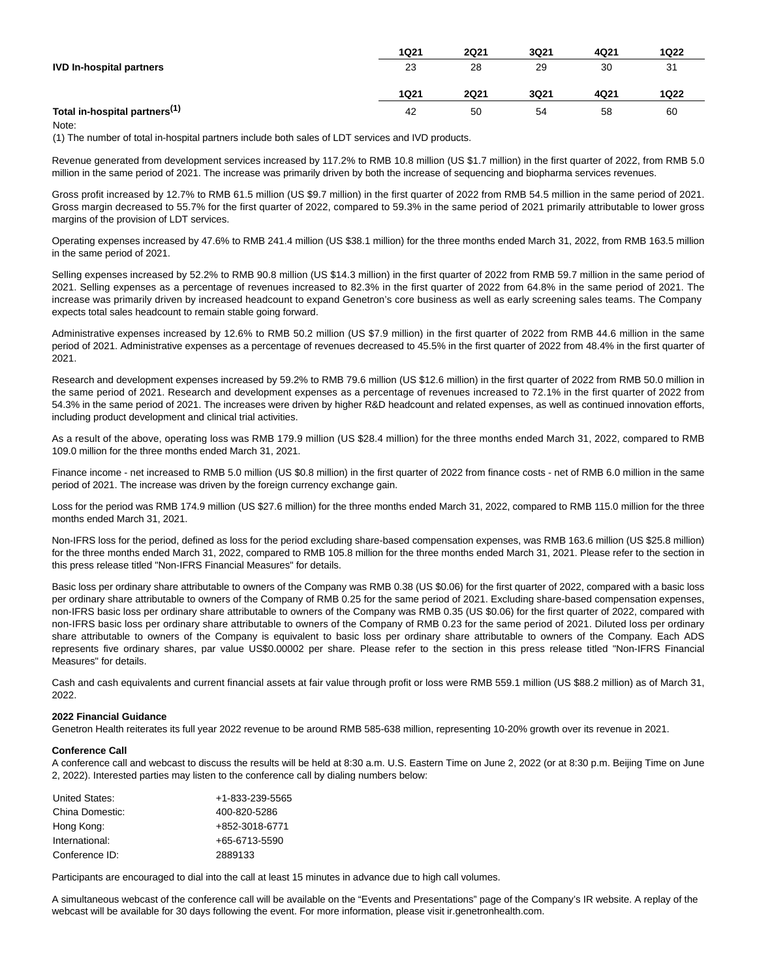|                                           | 1Q21 | <b>2Q21</b> | 3Q21 | 4Q21 | <b>1Q22</b> |
|-------------------------------------------|------|-------------|------|------|-------------|
| <b>IVD In-hospital partners</b>           | 23   | 28          | 29   | 30   | 31          |
|                                           | 1Q21 | <b>2Q21</b> | 3Q21 | 4Q21 | 1Q22        |
| Total in-hospital partners <sup>(1)</sup> | 42   | 50          | 54   | 58   | 60          |

#### Note:

(1) The number of total in-hospital partners include both sales of LDT services and IVD products.

Revenue generated from development services increased by 117.2% to RMB 10.8 million (US \$1.7 million) in the first quarter of 2022, from RMB 5.0 million in the same period of 2021. The increase was primarily driven by both the increase of sequencing and biopharma services revenues.

Gross profit increased by 12.7% to RMB 61.5 million (US \$9.7 million) in the first quarter of 2022 from RMB 54.5 million in the same period of 2021. Gross margin decreased to 55.7% for the first quarter of 2022, compared to 59.3% in the same period of 2021 primarily attributable to lower gross margins of the provision of LDT services.

Operating expenses increased by 47.6% to RMB 241.4 million (US \$38.1 million) for the three months ended March 31, 2022, from RMB 163.5 million in the same period of 2021.

Selling expenses increased by 52.2% to RMB 90.8 million (US \$14.3 million) in the first quarter of 2022 from RMB 59.7 million in the same period of 2021. Selling expenses as a percentage of revenues increased to 82.3% in the first quarter of 2022 from 64.8% in the same period of 2021. The increase was primarily driven by increased headcount to expand Genetron's core business as well as early screening sales teams. The Company expects total sales headcount to remain stable going forward.

Administrative expenses increased by 12.6% to RMB 50.2 million (US \$7.9 million) in the first quarter of 2022 from RMB 44.6 million in the same period of 2021. Administrative expenses as a percentage of revenues decreased to 45.5% in the first quarter of 2022 from 48.4% in the first quarter of 2021.

Research and development expenses increased by 59.2% to RMB 79.6 million (US \$12.6 million) in the first quarter of 2022 from RMB 50.0 million in the same period of 2021. Research and development expenses as a percentage of revenues increased to 72.1% in the first quarter of 2022 from 54.3% in the same period of 2021. The increases were driven by higher R&D headcount and related expenses, as well as continued innovation efforts, including product development and clinical trial activities.

As a result of the above, operating loss was RMB 179.9 million (US \$28.4 million) for the three months ended March 31, 2022, compared to RMB 109.0 million for the three months ended March 31, 2021.

Finance income - net increased to RMB 5.0 million (US \$0.8 million) in the first quarter of 2022 from finance costs - net of RMB 6.0 million in the same period of 2021. The increase was driven by the foreign currency exchange gain.

Loss for the period was RMB 174.9 million (US \$27.6 million) for the three months ended March 31, 2022, compared to RMB 115.0 million for the three months ended March 31, 2021.

Non-IFRS loss for the period, defined as loss for the period excluding share-based compensation expenses, was RMB 163.6 million (US \$25.8 million) for the three months ended March 31, 2022, compared to RMB 105.8 million for the three months ended March 31, 2021. Please refer to the section in this press release titled "Non-IFRS Financial Measures" for details.

Basic loss per ordinary share attributable to owners of the Company was RMB 0.38 (US \$0.06) for the first quarter of 2022, compared with a basic loss per ordinary share attributable to owners of the Company of RMB 0.25 for the same period of 2021. Excluding share-based compensation expenses, non-IFRS basic loss per ordinary share attributable to owners of the Company was RMB 0.35 (US \$0.06) for the first quarter of 2022, compared with non-IFRS basic loss per ordinary share attributable to owners of the Company of RMB 0.23 for the same period of 2021. Diluted loss per ordinary share attributable to owners of the Company is equivalent to basic loss per ordinary share attributable to owners of the Company. Each ADS represents five ordinary shares, par value US\$0.00002 per share. Please refer to the section in this press release titled "Non-IFRS Financial Measures" for details.

Cash and cash equivalents and current financial assets at fair value through profit or loss were RMB 559.1 million (US \$88.2 million) as of March 31, 2022.

#### **2022 Financial Guidance**

Genetron Health reiterates its full year 2022 revenue to be around RMB 585-638 million, representing 10-20% growth over its revenue in 2021.

#### **Conference Call**

A conference call and webcast to discuss the results will be held at 8:30 a.m. U.S. Eastern Time on June 2, 2022 (or at 8:30 p.m. Beijing Time on June 2, 2022). Interested parties may listen to the conference call by dialing numbers below:

| <b>United States:</b> | +1-833-239-5565 |
|-----------------------|-----------------|
| China Domestic:       | 400-820-5286    |
| Hong Kong:            | +852-3018-6771  |
| International:        | +65-6713-5590   |
| Conference ID:        | 2889133         |

Participants are encouraged to dial into the call at least 15 minutes in advance due to high call volumes.

A simultaneous webcast of the conference call will be available on the "Events and Presentations" page of the Company's IR website. A replay of the webcast will be available for 30 days following the event. For more information, please visit ir.genetronhealth.com.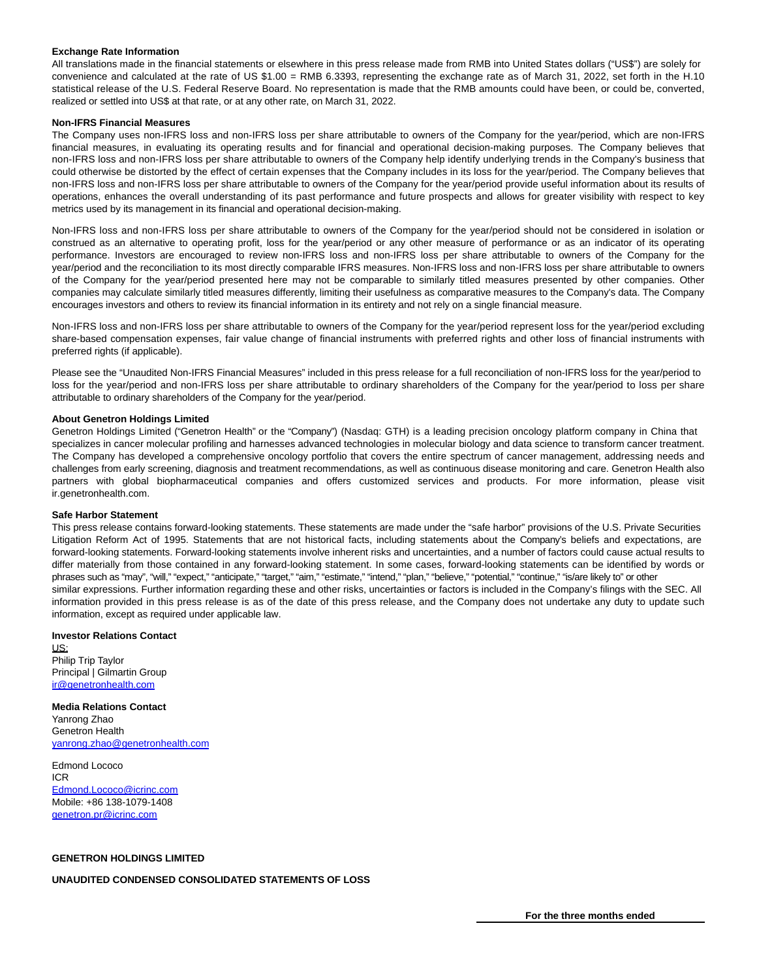#### **Exchange Rate Information**

All translations made in the financial statements or elsewhere in this press release made from RMB into United States dollars ("US\$") are solely for convenience and calculated at the rate of US \$1.00 = RMB 6.3393, representing the exchange rate as of March 31, 2022, set forth in the H.10 statistical release of the U.S. Federal Reserve Board. No representation is made that the RMB amounts could have been, or could be, converted, realized or settled into US\$ at that rate, or at any other rate, on March 31, 2022.

#### **Non-IFRS Financial Measures**

The Company uses non-IFRS loss and non-IFRS loss per share attributable to owners of the Company for the year/period, which are non-IFRS financial measures, in evaluating its operating results and for financial and operational decision-making purposes. The Company believes that non-IFRS loss and non-IFRS loss per share attributable to owners of the Company help identify underlying trends in the Company's business that could otherwise be distorted by the effect of certain expenses that the Company includes in its loss for the year/period. The Company believes that non-IFRS loss and non-IFRS loss per share attributable to owners of the Company for the year/period provide useful information about its results of operations, enhances the overall understanding of its past performance and future prospects and allows for greater visibility with respect to key metrics used by its management in its financial and operational decision-making.

Non-IFRS loss and non-IFRS loss per share attributable to owners of the Company for the year/period should not be considered in isolation or construed as an alternative to operating profit, loss for the year/period or any other measure of performance or as an indicator of its operating performance. Investors are encouraged to review non-IFRS loss and non-IFRS loss per share attributable to owners of the Company for the year/period and the reconciliation to its most directly comparable IFRS measures. Non-IFRS loss and non-IFRS loss per share attributable to owners of the Company for the year/period presented here may not be comparable to similarly titled measures presented by other companies. Other companies may calculate similarly titled measures differently, limiting their usefulness as comparative measures to the Company's data. The Company encourages investors and others to review its financial information in its entirety and not rely on a single financial measure.

Non-IFRS loss and non-IFRS loss per share attributable to owners of the Company for the year/period represent loss for the year/period excluding share-based compensation expenses, fair value change of financial instruments with preferred rights and other loss of financial instruments with preferred rights (if applicable).

Please see the "Unaudited Non-IFRS Financial Measures" included in this press release for a full reconciliation of non-IFRS loss for the year/period to loss for the year/period and non-IFRS loss per share attributable to ordinary shareholders of the Company for the year/period to loss per share attributable to ordinary shareholders of the Company for the year/period.

#### **About Genetron Holdings Limited**

Genetron Holdings Limited ("Genetron Health" or the "Company") (Nasdaq: GTH) is a leading precision oncology platform company in China that specializes in cancer molecular profiling and harnesses advanced technologies in molecular biology and data science to transform cancer treatment. The Company has developed a comprehensive oncology portfolio that covers the entire spectrum of cancer management, addressing needs and challenges from early screening, diagnosis and treatment recommendations, as well as continuous disease monitoring and care. Genetron Health also partners with global biopharmaceutical companies and offers customized services and products. For more information, please visit ir.genetronhealth.com.

#### **Safe Harbor Statement**

This press release contains forward-looking statements. These statements are made under the "safe harbor" provisions of the U.S. Private Securities Litigation Reform Act of 1995. Statements that are not historical facts, including statements about the Company's beliefs and expectations, are forward-looking statements. Forward-looking statements involve inherent risks and uncertainties, and a number of factors could cause actual results to differ materially from those contained in any forward-looking statement. In some cases, forward-looking statements can be identified by words or phrases such as "may", "will," "expect," "anticipate," "target," "aim," "estimate," "intend," "plan," "believe," "potential," "continue," "is/are likely to" or other similar expressions. Further information regarding these and other risks, uncertainties or factors is included in the Company's filings with the SEC. All information provided in this press release is as of the date of this press release, and the Company does not undertake any duty to update such information, except as required under applicable law.

#### **Investor Relations Contact**

US: Philip Trip Taylor Principal | Gilmartin Group [ir@genetronhealth.com](https://www.globenewswire.com/Tracker?data=1Doo8j8ymlt9noBx4hBB0odpKCjbJH4hpayX5511fTR7DlLl5syUFMA-vN-tgIt1qs7pYeb8Vx83SGO4jhOFL7EzMh300lTy7lhoMfMjuZc=)

**Media Relations Contact** Yanrong Zhao Genetron Health [yanrong.zhao@genetronhealth.com](https://www.globenewswire.com/Tracker?data=zCKmLp8O3bQpa9wFwEDiKCY7-OXfQCEDCHsYUy3IhrJHouX2psWpuWmWl4sCc2MsrEhaJ83vpyyCiMB0vM_jcELfe35UqvuIPZPyHgpvQYF2SBiHx0_V1m-nRMZ4xzEB)

Edmond Lococo ICR [Edmond.Lococo@icrinc.com](https://www.globenewswire.com/Tracker?data=Vz2D6yDl9Bd6Slrbq_Y3AUlg1jjhVgaCdVwk76FwXVR5-z5wRUnrqJSBAkvvzjf-cBI-WYnd0LzFGEh7E1gE-cUUAjR6hO1GElzF9cmOBhk=) Mobile: +86 138-1079-1408 [genetron.pr@icrinc.com](https://www.globenewswire.com/Tracker?data=sD9NyuZ5QwrKHXTuy8npwLuf9d3D6xD1TS_h3SDQleBnLGc3xCTUVGAggyhU7VleV2BpFAjyCK5y_m4XjRHCH4235IS4Y7_Z5CzQ1_srrRk=)

#### **GENETRON HOLDINGS LIMITED**

**UNAUDITED CONDENSED CONSOLIDATED STATEMENTS OF LOSS**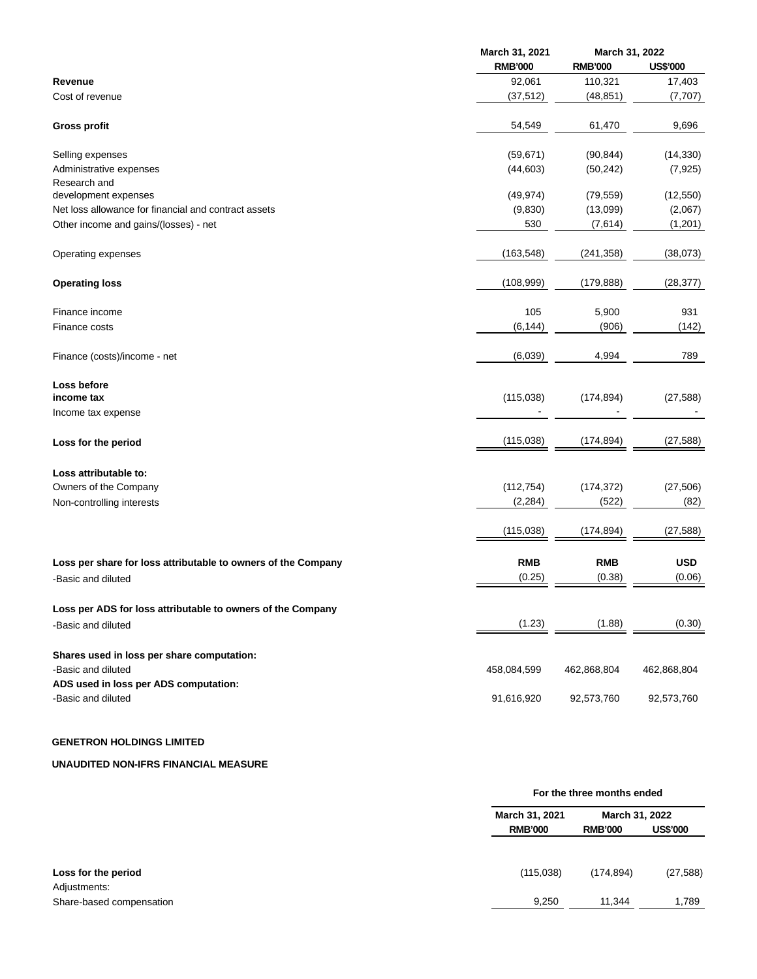|                                                               | March 31, 2021 | March 31, 2022 |                 |
|---------------------------------------------------------------|----------------|----------------|-----------------|
|                                                               | <b>RMB'000</b> | <b>RMB'000</b> | <b>US\$'000</b> |
| Revenue                                                       | 92,061         | 110,321        | 17,403          |
| Cost of revenue                                               | (37, 512)      | (48, 851)      | (7, 707)        |
| <b>Gross profit</b>                                           | 54,549         | 61,470         | 9,696           |
| Selling expenses                                              | (59, 671)      | (90, 844)      | (14, 330)       |
| Administrative expenses                                       | (44, 603)      | (50, 242)      | (7, 925)        |
| Research and                                                  |                |                |                 |
| development expenses                                          | (49, 974)      | (79, 559)      | (12, 550)       |
| Net loss allowance for financial and contract assets          | (9,830)        | (13,099)       | (2,067)         |
| Other income and gains/(losses) - net                         | 530            | (7,614)        | (1, 201)        |
| Operating expenses                                            | (163, 548)     | (241, 358)     | (38,073)        |
| <b>Operating loss</b>                                         | (108, 999)     | (179, 888)     | (28, 377)       |
| Finance income                                                | 105            | 5,900          | 931             |
| Finance costs                                                 | (6, 144)       | (906)          | (142)           |
| Finance (costs)/income - net                                  | (6,039)        | 4,994          | 789             |
| Loss before                                                   |                |                |                 |
| income tax                                                    | (115,038)      | (174, 894)     | (27, 588)       |
| Income tax expense                                            |                |                |                 |
| Loss for the period                                           | (115,038)      | (174, 894)     | (27, 588)       |
| Loss attributable to:                                         |                |                |                 |
| Owners of the Company                                         | (112, 754)     | (174, 372)     | (27, 506)       |
| Non-controlling interests                                     | (2, 284)       | (522)          | (82)            |
|                                                               | (115,038)      | (174, 894)     | (27, 588)       |
| Loss per share for loss attributable to owners of the Company | <b>RMB</b>     | <b>RMB</b>     | <b>USD</b>      |
| -Basic and diluted                                            | (0.25)         | (0.38)         | (0.06)          |
| Loss per ADS for loss attributable to owners of the Company   |                |                |                 |
| -Basic and diluted                                            | (1.23)         | (1.88)         | (0.30)          |
| Shares used in loss per share computation:                    |                |                |                 |
| -Basic and diluted                                            | 458,084,599    | 462,868,804    | 462,868,804     |
| ADS used in loss per ADS computation:<br>-Basic and diluted   | 91,616,920     | 92,573,760     | 92,573,760      |
|                                                               |                |                |                 |

# **GENETRON HOLDINGS LIMITED**

### **UNAUDITED NON-IFRS FINANCIAL MEASURE**

| For the three months ended |                |                 |  |
|----------------------------|----------------|-----------------|--|
| March 31, 2021             | March 31, 2022 |                 |  |
| <b>RMB'000</b>             | <b>RMB'000</b> | <b>US\$'000</b> |  |
| (115,038)                  | (174, 894)     | (27, 588)       |  |
| 9,250                      | 11,344         | 1,789           |  |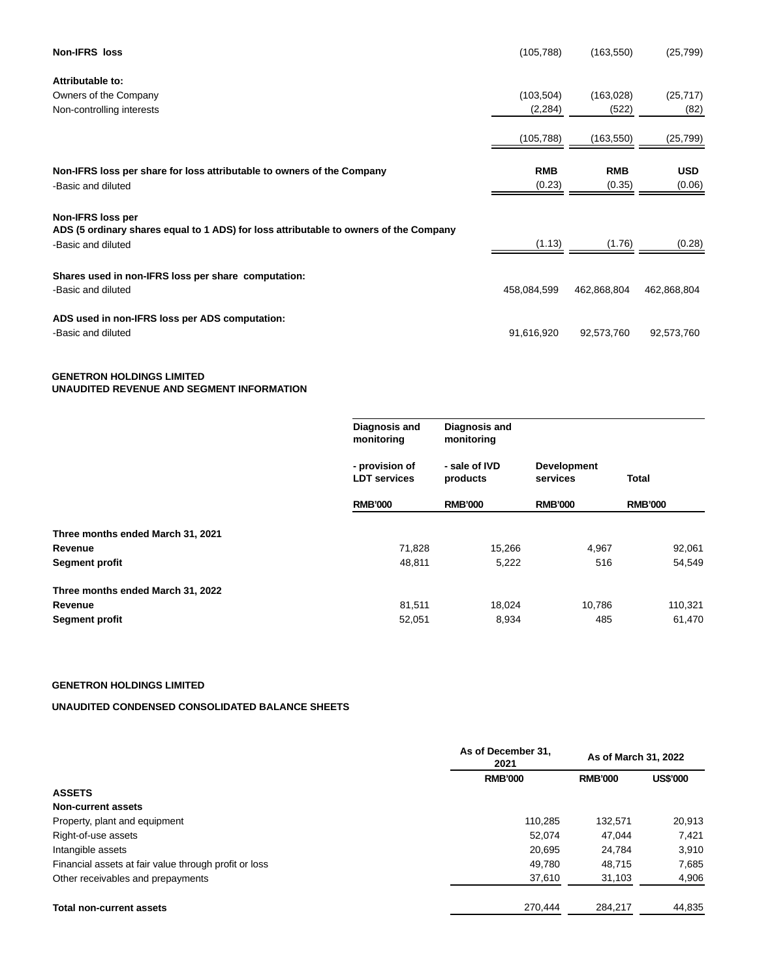| <b>Non-IFRS loss</b>                                                                                                             | (105, 788)  | (163, 550)  | (25, 799)   |
|----------------------------------------------------------------------------------------------------------------------------------|-------------|-------------|-------------|
| Attributable to:                                                                                                                 |             |             |             |
| Owners of the Company                                                                                                            | (103, 504)  | (163,028)   | (25, 717)   |
| Non-controlling interests                                                                                                        | (2, 284)    | (522)       | (82)        |
|                                                                                                                                  | (105,788)   | (163, 550)  | (25, 799)   |
| Non-IFRS loss per share for loss attributable to owners of the Company                                                           | <b>RMB</b>  | <b>RMB</b>  | <b>USD</b>  |
| -Basic and diluted                                                                                                               | (0.23)      | (0.35)      | (0.06)      |
| Non-IFRS loss per<br>ADS (5 ordinary shares equal to 1 ADS) for loss attributable to owners of the Company<br>-Basic and diluted | (1.13)      | (1.76)      | (0.28)      |
| Shares used in non-IFRS loss per share computation:<br>-Basic and diluted                                                        | 458,084,599 | 462,868,804 | 462,868,804 |
| ADS used in non-IFRS loss per ADS computation:<br>-Basic and diluted                                                             | 91,616,920  | 92,573,760  | 92,573,760  |

# **GENETRON HOLDINGS LIMITED UNAUDITED REVENUE AND SEGMENT INFORMATION**

|                                   | <b>Diagnosis and</b><br>monitoring    | Diagnosis and<br>monitoring |                                |                |
|-----------------------------------|---------------------------------------|-----------------------------|--------------------------------|----------------|
|                                   | - provision of<br><b>LDT</b> services | - sale of IVD<br>products   | <b>Development</b><br>services | <b>Total</b>   |
|                                   | <b>RMB'000</b>                        | <b>RMB'000</b>              | <b>RMB'000</b>                 | <b>RMB'000</b> |
| Three months ended March 31, 2021 |                                       |                             |                                |                |
| Revenue                           | 71,828                                | 15,266                      | 4,967                          | 92,061         |
| <b>Segment profit</b>             | 48,811                                | 5,222                       | 516                            | 54,549         |
| Three months ended March 31, 2022 |                                       |                             |                                |                |
| Revenue                           | 81,511                                | 18,024                      | 10.786                         | 110,321        |
| <b>Segment profit</b>             | 52,051                                | 8,934                       | 485                            | 61,470         |

## **GENETRON HOLDINGS LIMITED**

# **UNAUDITED CONDENSED CONSOLIDATED BALANCE SHEETS**

|                                                       | As of December 31.<br>2021 | As of March 31, 2022 |                 |
|-------------------------------------------------------|----------------------------|----------------------|-----------------|
|                                                       | <b>RMB'000</b>             | <b>RMB'000</b>       | <b>US\$'000</b> |
| <b>ASSETS</b>                                         |                            |                      |                 |
| <b>Non-current assets</b>                             |                            |                      |                 |
| Property, plant and equipment                         | 110.285                    | 132.571              | 20,913          |
| Right-of-use assets                                   | 52.074                     | 47.044               | 7,421           |
| Intangible assets                                     | 20.695                     | 24.784               | 3,910           |
| Financial assets at fair value through profit or loss | 49.780                     | 48.715               | 7,685           |
| Other receivables and prepayments                     | 37,610                     | 31,103               | 4,906           |
| Total non-current assets                              | 270.444                    | 284.217              | 44,835          |